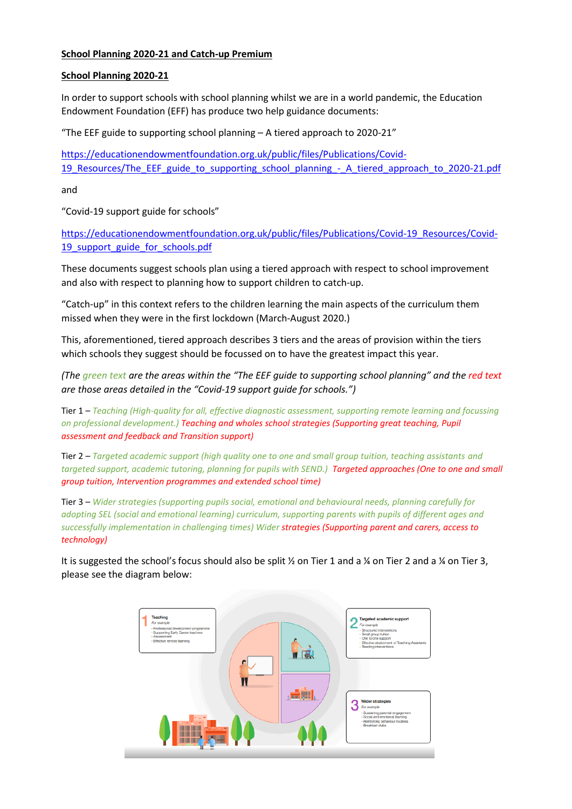# **School Planning 2020-21 and Catch-up Premium**

#### **School Planning 2020-21**

In order to support schools with school planning whilst we are in a world pandemic, the Education Endowment Foundation (EFF) has produce two help guidance documents:

"The EEF guide to supporting school planning – A tiered approach to 2020-21"

[https://educationendowmentfoundation.org.uk/public/files/Publications/Covid-](https://educationendowmentfoundation.org.uk/public/files/Publications/Covid-19_Resources/The_EEF_guide_to_supporting_school_planning_-_A_tiered_approach_to_2020-21.pdf)19 Resources/The\_EEF\_guide\_to\_supporting\_school\_planning\_-\_A\_tiered\_approach\_to\_2020-21.pdf

and

"Covid-19 support guide for schools"

[https://educationendowmentfoundation.org.uk/public/files/Publications/Covid-19\\_Resources/Covid-](https://educationendowmentfoundation.org.uk/public/files/Publications/Covid-19_Resources/Covid-19_support_guide_for_schools.pdf)19 support guide for schools.pdf

These documents suggest schools plan using a tiered approach with respect to school improvement and also with respect to planning how to support children to catch-up.

"Catch-up" in this context refers to the children learning the main aspects of the curriculum them missed when they were in the first lockdown (March-August 2020.)

This, aforementioned, tiered approach describes 3 tiers and the areas of provision within the tiers which schools they suggest should be focussed on to have the greatest impact this year.

*(The green text are the areas within the "The EEF guide to supporting school planning" and the red text are those areas detailed in the "Covid-19 support guide for schools.")*

Tier 1 – *Teaching (High-quality for all, effective diagnostic assessment, supporting remote learning and focussing on professional development.) Teaching and wholes school strategies (Supporting great teaching, Pupil assessment and feedback and Transition support)*

Tier 2 – *Targeted academic support (high quality one to one and small group tuition, teaching assistants and targeted support, academic tutoring, planning for pupils with SEND.) Targeted approaches (One to one and small group tuition, Intervention programmes and extended school time)* 

Tier 3 – *Wider strategies (supporting pupils social, emotional and behavioural needs, planning carefully for adopting SEL (social and emotional learning) curriculum, supporting parents with pupils of different ages and successfully implementation in challenging times) Wider strategies (Supporting parent and carers, access to technology)*

It is suggested the school's focus should also be split  $\frac{1}{2}$  on Tier 1 and a  $\frac{1}{4}$  on Tier 2 and a  $\frac{1}{4}$  on Tier 3, please see the diagram below:

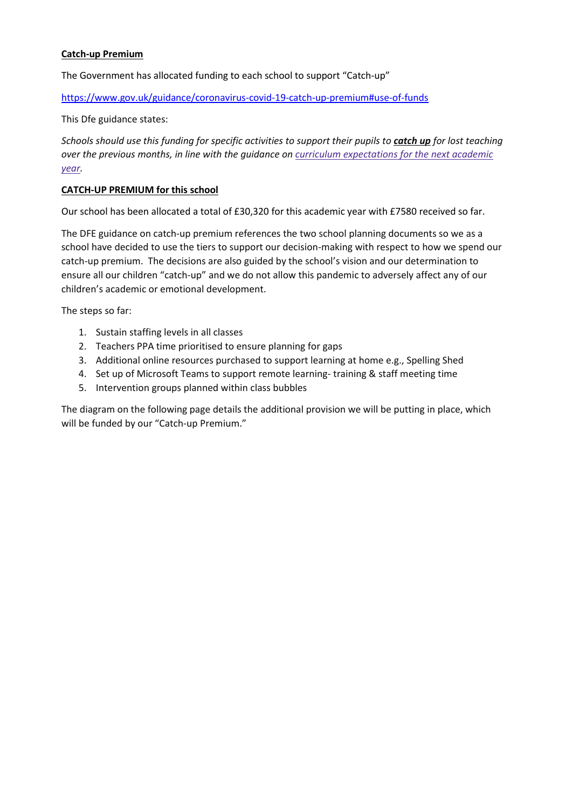# **Catch-up Premium**

The Government has allocated funding to each school to support "Catch-up"

<https://www.gov.uk/guidance/coronavirus-covid-19-catch-up-premium#use-of-funds>

This Dfe guidance states:

*Schools should use this funding for specific activities to support their pupils to catch up for lost teaching over the previous months, in line with the guidance on curriculum [expectations](https://www.gov.uk/government/publications/actions-for-schools-during-the-coronavirus-outbreak/guidance-for-full-opening-schools#section-3-curriculum-behaviour-and-pastoral-support) for the next academic [year.](https://www.gov.uk/government/publications/actions-for-schools-during-the-coronavirus-outbreak/guidance-for-full-opening-schools#section-3-curriculum-behaviour-and-pastoral-support)*

### **CATCH-UP PREMIUM for this school**

Our school has been allocated a total of £30,320 for this academic year with £7580 received so far.

The DFE guidance on catch-up premium references the two school planning documents so we as a school have decided to use the tiers to support our decision-making with respect to how we spend our catch-up premium. The decisions are also guided by the school's vision and our determination to ensure all our children "catch-up" and we do not allow this pandemic to adversely affect any of our children's academic or emotional development.

The steps so far:

- 1. Sustain staffing levels in all classes
- 2. Teachers PPA time prioritised to ensure planning for gaps
- 3. Additional online resources purchased to support learning at home e.g., Spelling Shed
- 4. Set up of Microsoft Teams to support remote learning- training & staff meeting time
- 5. Intervention groups planned within class bubbles

The diagram on the following page details the additional provision we will be putting in place, which will be funded by our "Catch-up Premium."